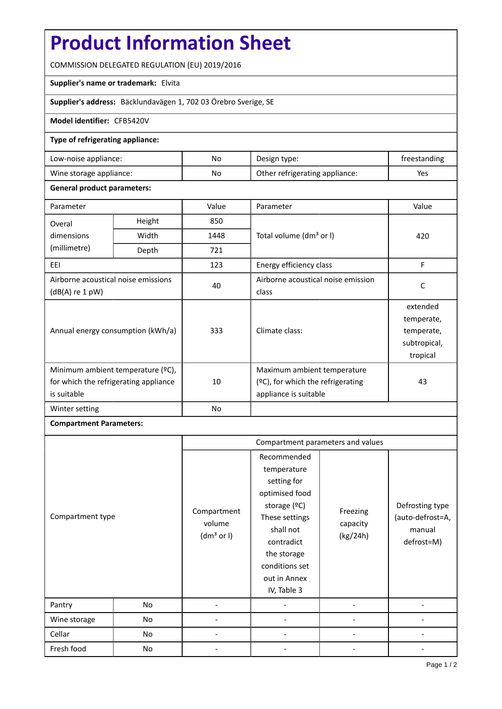# **Product Information Sheet**

COMMISSION DELEGATED REGULATION (EU) 2019/2016

## **Supplier's name or trademark:** Elvita

**Supplier's address:** Bäcklundavägen 1, 702 03 Örebro Sverige, SE

#### **Model identifier:** CFB5420V

#### **Type of refrigerating appliance:**

| Low-noise appliance:    | No | Design type:                   | treestanding |
|-------------------------|----|--------------------------------|--------------|
| Wine storage appliance: | No | Other refrigerating appliance: | Yes          |

#### **General product parameters:**

| Parameter                                                                                 |       | Value          | Parameter                                                                                    | Value                                                            |
|-------------------------------------------------------------------------------------------|-------|----------------|----------------------------------------------------------------------------------------------|------------------------------------------------------------------|
| Height<br>Overal                                                                          |       | 850            |                                                                                              |                                                                  |
| dimensions                                                                                | Width | 1448           | Total volume (dm <sup>3</sup> or I)                                                          | 420                                                              |
| (millimetre)                                                                              | Depth | 721            |                                                                                              |                                                                  |
| EEI                                                                                       |       | 123            | Energy efficiency class                                                                      | F                                                                |
| Airborne acoustical noise emissions<br>$(dB(A)$ re 1 pW)                                  |       | 40             | Airborne acoustical noise emission<br>class                                                  | C                                                                |
| Annual energy consumption (kWh/a)                                                         |       | 333            | Climate class:                                                                               | extended<br>temperate,<br>temperate,<br>subtropical,<br>tropical |
| Minimum ambient temperature (°C),<br>for which the refrigerating appliance<br>is suitable |       | 10             | Maximum ambient temperature<br>$(°C)$ , for which the refrigerating<br>appliance is suitable | 43                                                               |
| Winter setting                                                                            |       | N <sub>o</sub> |                                                                                              |                                                                  |

## **Compartment Parameters:**

|                  |    | Compartment parameters and values               |                                                                                                                                                                                          |                                  |                                                             |
|------------------|----|-------------------------------------------------|------------------------------------------------------------------------------------------------------------------------------------------------------------------------------------------|----------------------------------|-------------------------------------------------------------|
| Compartment type |    | Compartment<br>volume<br>(dm <sup>3</sup> or I) | Recommended<br>temperature<br>setting for<br>optimised food<br>storage (ºC)<br>These settings<br>shall not<br>contradict<br>the storage<br>conditions set<br>out in Annex<br>IV, Table 3 | Freezing<br>capacity<br>(kg/24h) | Defrosting type<br>(auto-defrost=A,<br>manual<br>defrost=M) |
| Pantry           | No |                                                 |                                                                                                                                                                                          |                                  |                                                             |
| Wine storage     | No |                                                 |                                                                                                                                                                                          |                                  |                                                             |
| Cellar           | No |                                                 |                                                                                                                                                                                          |                                  |                                                             |
| Fresh food       | No |                                                 |                                                                                                                                                                                          |                                  |                                                             |